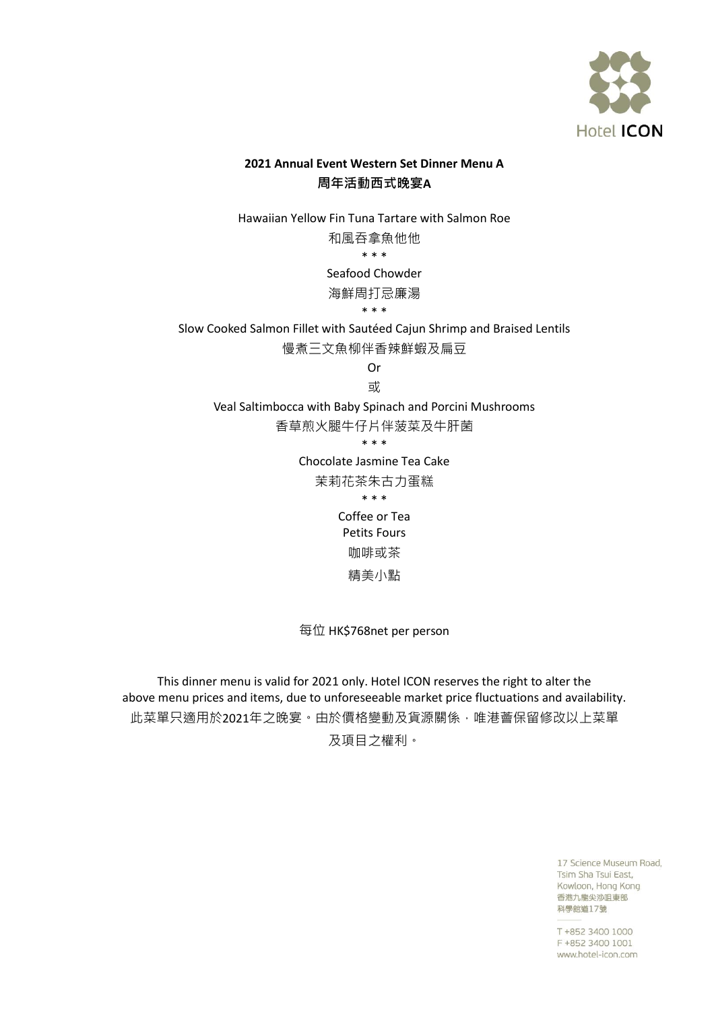

## **2021 Annual Event Western Set Dinner Menu A** 周年活動西式晚宴**A**

Hawaiian Yellow Fin Tuna Tartare with Salmon Roe 和風吞拿魚他他 \* \* \* Seafood Chowder 海鮮周打忌廉湯

\* \* \*

Slow Cooked Salmon Fillet with Sautéed Cajun Shrimp and Braised Lentils

慢煮三文魚柳伴香辣鮮蝦及扁豆

Or

或

Veal Saltimbocca with Baby Spinach and Porcini Mushrooms

香草煎火腿牛仔片伴菠菜及牛肝菌

\* \* \*

Chocolate Jasmine Tea Cake

茉莉花茶朱古力蛋糕

\* \* \*

Coffee or Tea Petits Fours 咖啡或茶 精美小點

每位 HK\$768net per person

This dinner menu is valid for 2021 only. Hotel ICON reserves the right to alter the above menu prices and items, due to unforeseeable market price fluctuations and availability. 此菜單只適用於2021年之晚宴。由於價格變動及貨源關係,唯港薈保留修改以上菜單

及項目之權利。

17 Science Museum Road, Tsim Sha Tsui East, Kowloon, Hong Kong 香港九龍尖沙咀東部 科學館道17號

T +852 3400 1000 F +852 3400 1001 www.hotel-icon.com